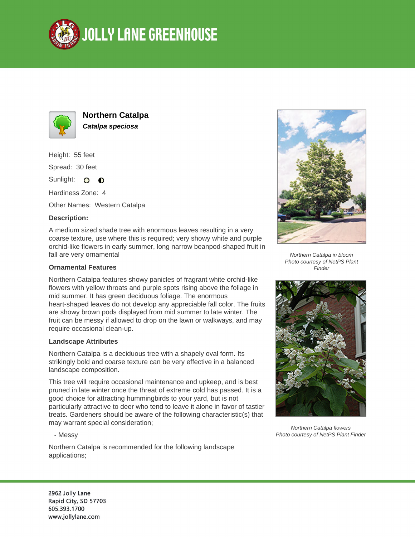



**Northern Catalpa Catalpa speciosa**

Height: 55 feet Spread: 30 feet

Sunlight: O  $\bullet$ 

Hardiness Zone: 4

Other Names: Western Catalpa

## **Description:**

A medium sized shade tree with enormous leaves resulting in a very coarse texture, use where this is required; very showy white and purple orchid-like flowers in early summer, long narrow beanpod-shaped fruit in fall are very ornamental

### **Ornamental Features**

Northern Catalpa features showy panicles of fragrant white orchid-like flowers with yellow throats and purple spots rising above the foliage in mid summer. It has green deciduous foliage. The enormous heart-shaped leaves do not develop any appreciable fall color. The fruits are showy brown pods displayed from mid summer to late winter. The fruit can be messy if allowed to drop on the lawn or walkways, and may require occasional clean-up.

#### **Landscape Attributes**

Northern Catalpa is a deciduous tree with a shapely oval form. Its strikingly bold and coarse texture can be very effective in a balanced landscape composition.

This tree will require occasional maintenance and upkeep, and is best pruned in late winter once the threat of extreme cold has passed. It is a good choice for attracting hummingbirds to your yard, but is not particularly attractive to deer who tend to leave it alone in favor of tastier treats. Gardeners should be aware of the following characteristic(s) that may warrant special consideration;

#### - Messy

Northern Catalpa is recommended for the following landscape applications;



Northern Catalpa in bloom Photo courtesy of NetPS Plant Finder



Northern Catalpa flowers Photo courtesy of NetPS Plant Finder

2962 Jolly Lane Rapid City, SD 57703 605.393.1700 www.jollylane.com